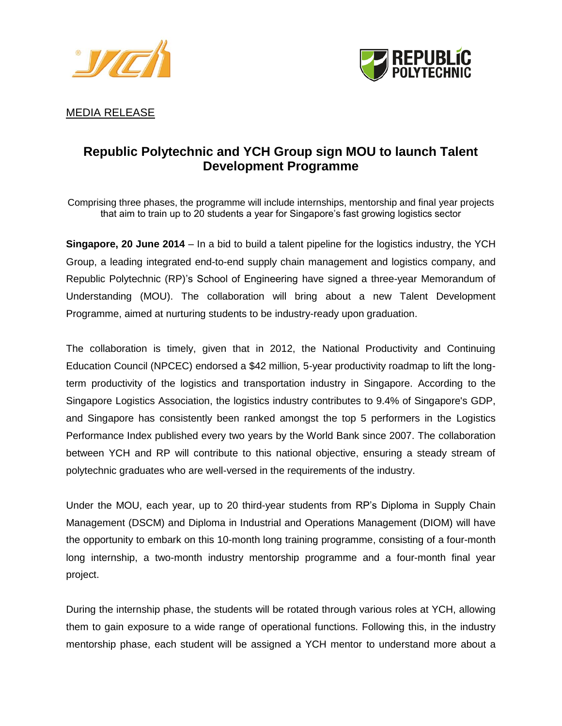



MEDIA RELEASE

# **Republic Polytechnic and YCH Group sign MOU to launch Talent Development Programme**

Comprising three phases, the programme will include internships, mentorship and final year projects that aim to train up to 20 students a year for Singapore's fast growing logistics sector

**Singapore, 20 June 2014** – In a bid to build a talent pipeline for the logistics industry, the YCH Group, a leading integrated end-to-end supply chain management and logistics company, and Republic Polytechnic (RP)'s School of Engineering have signed a three-year Memorandum of Understanding (MOU). The collaboration will bring about a new Talent Development Programme, aimed at nurturing students to be industry-ready upon graduation.

The collaboration is timely, given that in 2012, the National Productivity and Continuing Education Council (NPCEC) endorsed a \$42 million, 5-year productivity roadmap to lift the longterm productivity of the logistics and transportation industry in Singapore. According to the Singapore Logistics Association, the logistics industry contributes to 9.4% of Singapore's GDP, and Singapore has consistently been ranked amongst the top 5 performers in the Logistics Performance Index published every two years by the World Bank since 2007. The collaboration between YCH and RP will contribute to this national objective, ensuring a steady stream of polytechnic graduates who are well-versed in the requirements of the industry.

Under the MOU, each year, up to 20 third-year students from RP's Diploma in Supply Chain Management (DSCM) and Diploma in Industrial and Operations Management (DIOM) will have the opportunity to embark on this 10-month long training programme, consisting of a four-month long internship, a two-month industry mentorship programme and a four-month final year project.

During the internship phase, the students will be rotated through various roles at YCH, allowing them to gain exposure to a wide range of operational functions. Following this, in the industry mentorship phase, each student will be assigned a YCH mentor to understand more about a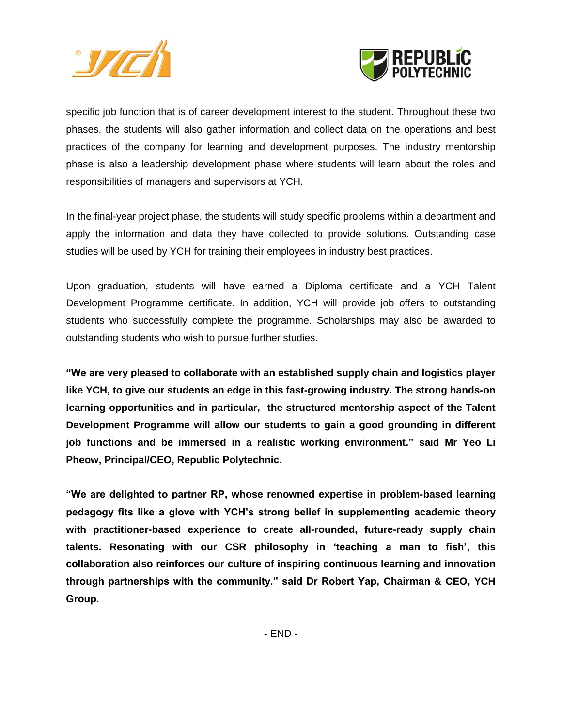



specific job function that is of career development interest to the student. Throughout these two phases, the students will also gather information and collect data on the operations and best practices of the company for learning and development purposes. The industry mentorship phase is also a leadership development phase where students will learn about the roles and responsibilities of managers and supervisors at YCH.

In the final-year project phase, the students will study specific problems within a department and apply the information and data they have collected to provide solutions. Outstanding case studies will be used by YCH for training their employees in industry best practices.

Upon graduation, students will have earned a Diploma certificate and a YCH Talent Development Programme certificate. In addition, YCH will provide job offers to outstanding students who successfully complete the programme. Scholarships may also be awarded to outstanding students who wish to pursue further studies.

**"We are very pleased to collaborate with an established supply chain and logistics player like YCH, to give our students an edge in this fast-growing industry. The strong hands-on learning opportunities and in particular, the structured mentorship aspect of the Talent Development Programme will allow our students to gain a good grounding in different job functions and be immersed in a realistic working environment." said Mr Yeo Li Pheow, Principal/CEO, Republic Polytechnic.**

**"We are delighted to partner RP, whose renowned expertise in problem-based learning pedagogy fits like a glove with YCH"s strong belief in supplementing academic theory with practitioner-based experience to create all-rounded, future-ready supply chain talents. Resonating with our CSR philosophy in "teaching a man to fish", this collaboration also reinforces our culture of inspiring continuous learning and innovation through partnerships with the community." said Dr Robert Yap, Chairman & CEO, YCH Group.**

- END -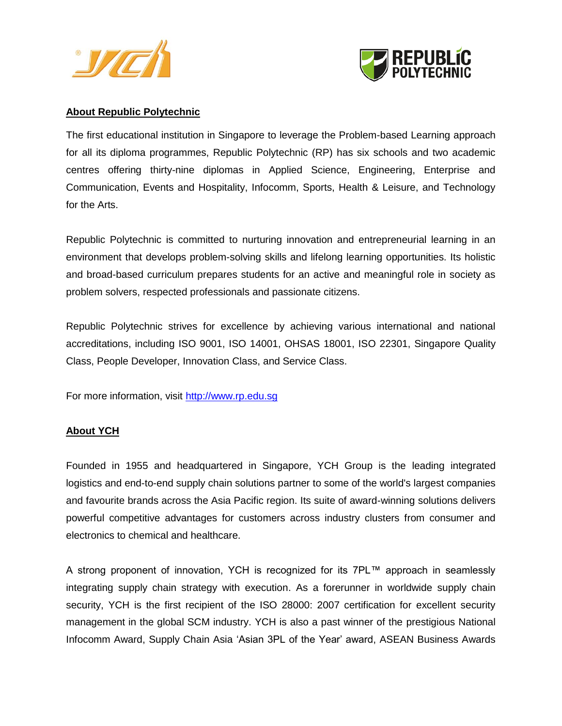



#### **About Republic Polytechnic**

The first educational institution in Singapore to leverage the Problem-based Learning approach for all its diploma programmes, Republic Polytechnic (RP) has six schools and two academic centres offering thirty-nine diplomas in Applied Science, Engineering, Enterprise and Communication, Events and Hospitality, Infocomm, Sports, Health & Leisure, and Technology for the Arts.

Republic Polytechnic is committed to nurturing innovation and entrepreneurial learning in an environment that develops problem-solving skills and lifelong learning opportunities. Its holistic and broad-based curriculum prepares students for an active and meaningful role in society as problem solvers, respected professionals and passionate citizens.

Republic Polytechnic strives for excellence by achieving various international and national accreditations, including ISO 9001, ISO 14001, OHSAS 18001, ISO 22301, Singapore Quality Class, People Developer, Innovation Class, and Service Class.

For more information, visit [http://www.rp.edu.sg](http://www.rp.edu.sg/)

## **About YCH**

Founded in 1955 and headquartered in Singapore, YCH Group is the leading integrated logistics and end-to-end supply chain solutions partner to some of the world's largest companies and favourite brands across the Asia Pacific region. Its suite of award-winning solutions delivers powerful competitive advantages for customers across industry clusters from consumer and electronics to chemical and healthcare.

A strong proponent of innovation, YCH is recognized for its 7PL™ approach in seamlessly integrating supply chain strategy with execution. As a forerunner in worldwide supply chain security, YCH is the first recipient of the ISO 28000: 2007 certification for excellent security management in the global SCM industry. YCH is also a past winner of the prestigious National Infocomm Award, Supply Chain Asia 'Asian 3PL of the Year' award, ASEAN Business Awards